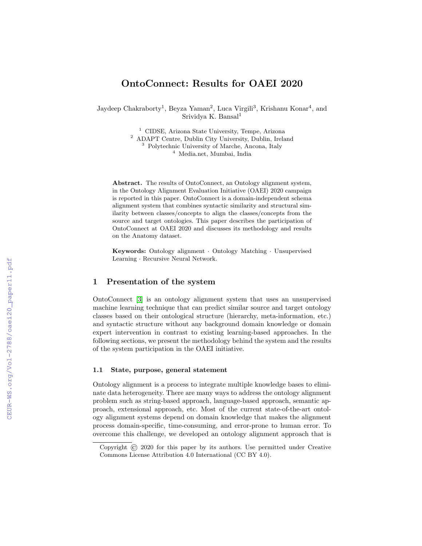# OntoConnect: Results for OAEI 2020

Jaydeep Chakraborty<sup>1</sup>, Beyza Yaman<sup>2</sup>, Luca Virgili<sup>3</sup>, Krishanu Konar<sup>4</sup>, and Srividya K. Bansal<sup>1</sup>

<sup>1</sup> CIDSE, Arizona State University, Tempe, Arizona

<sup>2</sup> ADAPT Centre, Dublin City University, Dublin, Ireland <sup>3</sup> Polytechnic University of Marche, Ancona, Italy

<sup>4</sup> Media.net, Mumbai, India

Abstract. The results of OntoConnect, an Ontology alignment system, in the Ontology Alignment Evaluation Initiative (OAEI) 2020 campaign is reported in this paper. OntoConnect is a domain-independent schema alignment system that combines syntactic similarity and structural similarity between classes/concepts to align the classes/concepts from the source and target ontologies. This paper describes the participation of OntoConnect at OAEI 2020 and discusses its methodology and results on the Anatomy dataset.

Keywords: Ontology alignment · Ontology Matching · Unsupervised Learning · Recursive Neural Network.

#### 1 Presentation of the system

OntoConnect [\[3\]](#page--1-0) is an ontology alignment system that uses an unsupervised machine learning technique that can predict similar source and target ontology classes based on their ontological structure (hierarchy, meta-information, etc.) and syntactic structure without any background domain knowledge or domain expert intervention in contrast to existing learning-based approaches. In the following sections, we present the methodology behind the system and the results of the system participation in the OAEI initiative.

#### 1.1 State, purpose, general statement

Ontology alignment is a process to integrate multiple knowledge bases to eliminate data heterogeneity. There are many ways to address the ontology alignment problem such as string-based approach, language-based approach, semantic approach, extensional approach, etc. Most of the current state-of-the-art ontology alignment systems depend on domain knowledge that makes the alignment process domain-specific, time-consuming, and error-prone to human error. To overcome this challenge, we developed an ontology alignment approach that is

Copyright © 2020 for this paper by its authors. Use permitted under Creative Commons License Attribution 4.0 International (CC BY 4.0).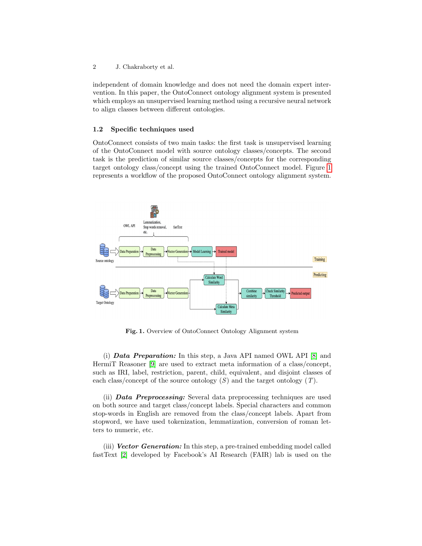2 J. Chakraborty et al.

independent of domain knowledge and does not need the domain expert intervention. In this paper, the OntoConnect ontology alignment system is presented which employs an unsupervised learning method using a recursive neural network to align classes between different ontologies.

#### 1.2 Specific techniques used

OntoConnect consists of two main tasks: the first task is unsupervised learning of the OntoConnect model with source ontology classes/concepts. The second task is the prediction of similar source classes/concepts for the corresponding target ontology class/concept using the trained OntoConnect model. Figure [1](#page-1-0) represents a workflow of the proposed OntoConnect ontology alignment system.



<span id="page-1-0"></span>Fig. 1. Overview of OntoConnect Ontology Alignment system

(i) Data Preparation: In this step, a Java API named OWL API [\[8\]](#page-6-0) and HermiT Reasoner [\[9\]](#page-6-1) are used to extract meta information of a class/concept, such as IRI, label, restriction, parent, child, equivalent, and disjoint classes of each class/concept of the source ontology  $(S)$  and the target ontology  $(T)$ .

(ii) Data Preprocessing: Several data preprocessing techniques are used on both source and target class/concept labels. Special characters and common stop-words in English are removed from the class/concept labels. Apart from stopword, we have used tokenization, lemmatization, conversion of roman letters to numeric, etc.

(iii) **Vector Generation:** In this step, a pre-trained embedding model called fastText [\[2\]](#page-6-2) developed by Facebook's AI Research (FAIR) lab is used on the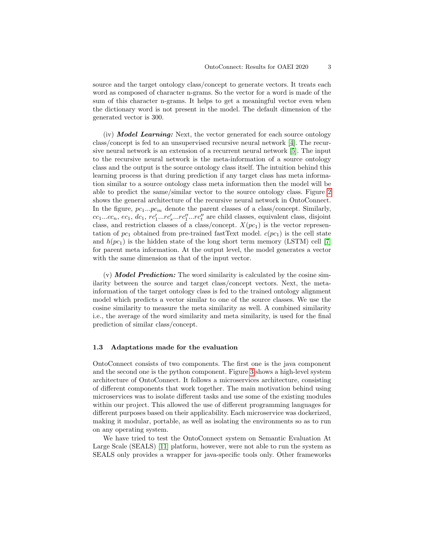source and the target ontology class/concept to generate vectors. It treats each word as composed of character n-grams. So the vector for a word is made of the sum of this character n-grams. It helps to get a meaningful vector even when the dictionary word is not present in the model. The default dimension of the generated vector is 300.

 $(iv)$  **Model Learning:** Next, the vector generated for each source ontology class/concept is fed to an unsupervised recursive neural network [\[4\]](#page-6-3). The recursive neural network is an extension of a recurrent neural network [\[5\]](#page-6-4). The input to the recursive neural network is the meta-information of a source ontology class and the output is the source ontology class itself. The intuition behind this learning process is that during prediction if any target class has meta information similar to a source ontology class meta information then the model will be able to predict the same/similar vector to the source ontology class. Figure [2](#page-3-0) shows the general architecture of the recursive neural network in OntoConnect. In the figure,  $pc_1...pc_m$  denote the parent classes of a class/concept. Similarly,  $cc_1...cc_n$ ,  $ec_1$ ,  $dc_1$ ,  $rc'_1...rc'_s...rc''_1...rc''_t$  are child classes, equivalent class, disjoint class, and restriction classes of a class/concept.  $X(pc_1)$  is the vector representation of  $pc_1$  obtained from pre-trained fastText model.  $c(pc_1)$  is the cell state and  $h(pc_1)$  is the hidden state of the long short term memory (LSTM) cell [\[7\]](#page-6-5) for parent meta information. At the output level, the model generates a vector with the same dimension as that of the input vector.

 $(v)$  **Model Prediction:** The word similarity is calculated by the cosine similarity between the source and target class/concept vectors. Next, the metainformation of the target ontology class is fed to the trained ontology alignment model which predicts a vector similar to one of the source classes. We use the cosine similarity to measure the meta similarity as well. A combined similarity i.e., the average of the word similarity and meta similarity, is used for the final prediction of similar class/concept.

#### 1.3 Adaptations made for the evaluation

OntoConnect consists of two components. The first one is the java component and the second one is the python component. Figure [3](#page-4-0) shows a high-level system architecture of OntoConnect. It follows a microservices architecture, consisting of different components that work together. The main motivation behind using microservices was to isolate different tasks and use some of the existing modules within our project. This allowed the use of different programming languages for different purposes based on their applicability. Each microservice was dockerized, making it modular, portable, as well as isolating the environments so as to run on any operating system.

We have tried to test the OntoConnect system on Semantic Evaluation At Large Scale (SEALS) [\[11\]](#page-6-6) platform, however, were not able to run the system as SEALS only provides a wrapper for java-specific tools only. Other frameworks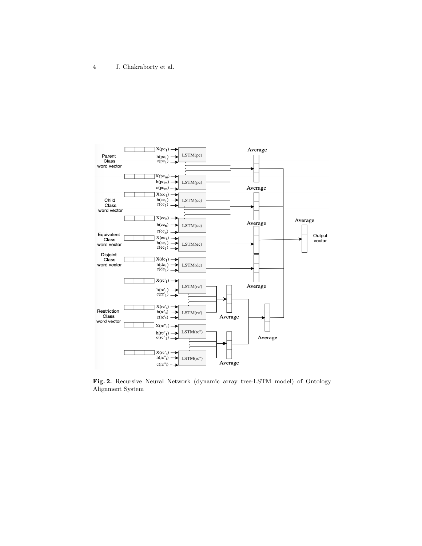

<span id="page-3-0"></span>Fig. 2. Recursive Neural Network (dynamic array tree-LSTM model) of Ontology Alignment System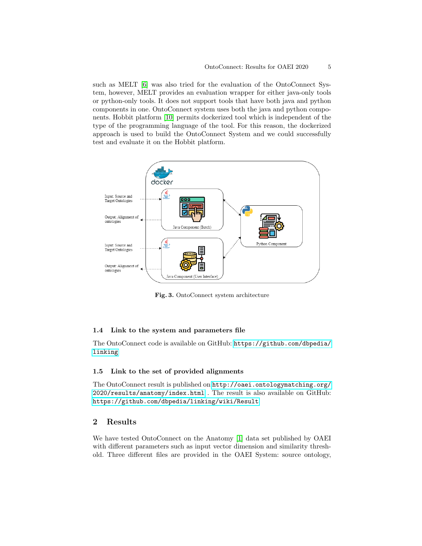such as MELT [\[6\]](#page-6-7) was also tried for the evaluation of the OntoConnect System, however, MELT provides an evaluation wrapper for either java-only tools or python-only tools. It does not support tools that have both java and python components in one. OntoConnect system uses both the java and python components. Hobbit platform [\[10\]](#page-6-8) permits dockerized tool which is independent of the type of the programming language of the tool. For this reason, the dockerized approach is used to build the OntoConnect System and we could successfully test and evaluate it on the Hobbit platform.



<span id="page-4-0"></span>Fig. 3. OntoConnect system architecture

#### 1.4 Link to the system and parameters file

The OntoConnect code is available on GitHub: [https://github.com/dbpedia/](https://github.com/dbpedia/linking) [linking](https://github.com/dbpedia/linking)

#### 1.5 Link to the set of provided alignments

The OntoConnect result is published on [http://oaei.ontologymatching.org/](http://oaei.ontologymatching.org/2020/results/anatomy/index.html) [2020/results/anatomy/index.html](http://oaei.ontologymatching.org/2020/results/anatomy/index.html) . The result is also available on GitHub: <https://github.com/dbpedia/linking/wiki/Result>

### 2 Results

We have tested OntoConnect on the Anatomy [\[1\]](#page-6-9) data set published by OAEI with different parameters such as input vector dimension and similarity threshold. Three different files are provided in the OAEI System: source ontology,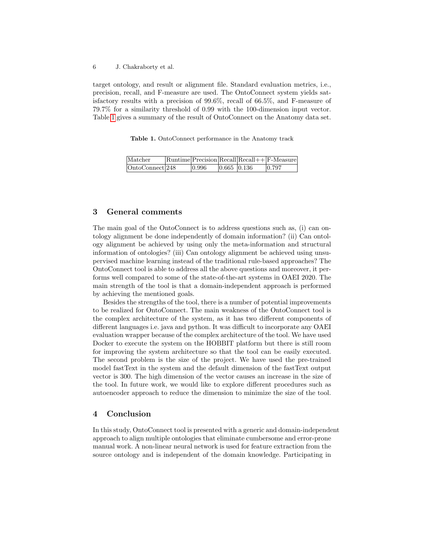6 J. Chakraborty et al.

target ontology, and result or alignment file. Standard evaluation metrics, i.e., precision, recall, and F-measure are used. The OntoConnect system yields satisfactory results with a precision of 99.6%, recall of 66.5%, and F-measure of 79.7% for a similarity threshold of 0.99 with the 100-dimension input vector. Table [1](#page-5-0) gives a summary of the result of OntoConnect on the Anatomy data set.

<span id="page-5-0"></span>Table 1. OntoConnect performance in the Anatomy track

| Matcher         |       |             | $\lvert$ Runtime $\lvert$ Precision $\lvert$ Recall $\lvert$ Recall $++\lvert$ F-Measure |
|-----------------|-------|-------------|------------------------------------------------------------------------------------------|
| OntoConnect 248 | 0.996 | 0.665 0.136 | 0.797                                                                                    |

# 3 General comments

The main goal of the OntoConnect is to address questions such as, (i) can ontology alignment be done independently of domain information? (ii) Can ontology alignment be achieved by using only the meta-information and structural information of ontologies? (iii) Can ontology alignment be achieved using unsupervised machine learning instead of the traditional rule-based approaches? The OntoConnect tool is able to address all the above questions and moreover, it performs well compared to some of the state-of-the-art systems in OAEI 2020. The main strength of the tool is that a domain-independent approach is performed by achieving the mentioned goals.

Besides the strengths of the tool, there is a number of potential improvements to be realized for OntoConnect. The main weakness of the OntoConnect tool is the complex architecture of the system, as it has two different components of different languages i.e. java and python. It was difficult to incorporate any OAEI evaluation wrapper because of the complex architecture of the tool. We have used Docker to execute the system on the HOBBIT platform but there is still room for improving the system architecture so that the tool can be easily executed. The second problem is the size of the project. We have used the pre-trained model fastText in the system and the default dimension of the fastText output vector is 300. The high dimension of the vector causes an increase in the size of the tool. In future work, we would like to explore different procedures such as autoencoder approach to reduce the dimension to minimize the size of the tool.

## 4 Conclusion

In this study, OntoConnect tool is presented with a generic and domain-independent approach to align multiple ontologies that eliminate cumbersome and error-prone manual work. A non-linear neural network is used for feature extraction from the source ontology and is independent of the domain knowledge. Participating in